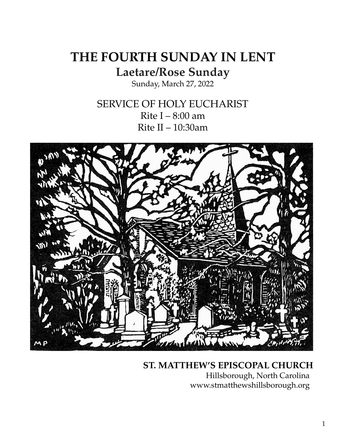# **THE FOURTH SUNDAY IN LENT Laetare/Rose Sunday**

Sunday, March 27, 2022

SERVICE OF HOLY EUCHARIST Rite  $I - 8:00$  am Rite II – 10:30am



## **ST. MATTHEW'S EPISCOPAL CHURCH**

Hillsborough, North Carolina www.stmatthewshillsborough.org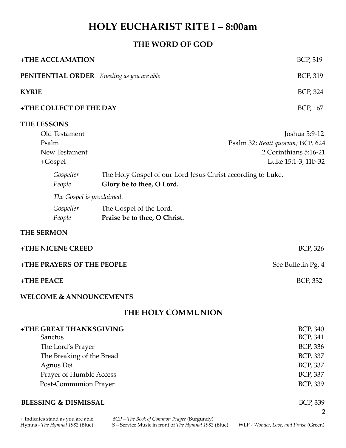## **HOLY EUCHARIST RITE I – 8:00am**

### **THE WORD OF GOD**

| +THE ACCLAMATION                           |                                                                                          | <b>BCP, 319</b>                  |  |
|--------------------------------------------|------------------------------------------------------------------------------------------|----------------------------------|--|
| PENITENTIAL ORDER Kneeling as you are able |                                                                                          | BCP, 319                         |  |
| <b>KYRIE</b>                               |                                                                                          | BCP, 324                         |  |
| +THE COLLECT OF THE DAY                    |                                                                                          | BCP, 167                         |  |
| <b>THE LESSONS</b>                         |                                                                                          |                                  |  |
| Old Testament                              |                                                                                          | Joshua 5:9-12                    |  |
| Psalm                                      |                                                                                          | Psalm 32; Beati quorum; BCP, 624 |  |
| New Testament                              |                                                                                          | 2 Corinthians 5:16-21            |  |
| +Gospel                                    |                                                                                          | Luke 15:1-3; 11b-32              |  |
| Gospeller<br>People                        | The Holy Gospel of our Lord Jesus Christ according to Luke.<br>Glory be to thee, O Lord. |                                  |  |
| The Gospel is proclaimed.                  |                                                                                          |                                  |  |
| Gospeller<br>People                        | The Gospel of the Lord.<br>Praise be to thee, O Christ.                                  |                                  |  |
| <b>THE SERMON</b>                          |                                                                                          |                                  |  |
| +THE NICENE CREED                          |                                                                                          | <b>BCP, 326</b>                  |  |
| +THE PRAYERS OF THE PEOPLE                 |                                                                                          | See Bulletin Pg. 4               |  |
| +THE PEACE                                 |                                                                                          | <b>BCP, 332</b>                  |  |
| <b>WELCOME &amp; ANNOUNCEMENTS</b>         |                                                                                          |                                  |  |
| THE HOLY COMMUNION                         |                                                                                          |                                  |  |
| +THE GREAT THANKSGIVING                    |                                                                                          | BCP, 340                         |  |
| Sanctus                                    |                                                                                          | BCP, 341                         |  |
| The Lord's Prayer                          |                                                                                          | BCP, 336                         |  |
| The Breaking of the Bread                  |                                                                                          | BCP, 337                         |  |
| Agnus Dei                                  |                                                                                          | <b>BCP, 337</b>                  |  |
| Prayer of Humble Access                    |                                                                                          | <b>BCP, 337</b>                  |  |
| Post-Communion Prayer                      |                                                                                          | BCP, 339                         |  |
| <b>BLESSING &amp; DISMISSAL</b>            |                                                                                          | <b>BCP, 339</b>                  |  |
|                                            |                                                                                          | 2                                |  |

+ Indicates stand as you are able. BCP – *The Book of Common Prayer* (Burgundy) Hymns - *The Hymnal 1982* (Blue) S – Service Music in front of *The Hymnal 1982* (Blue) WLP - *Wonder, Love, and Praise* (Green)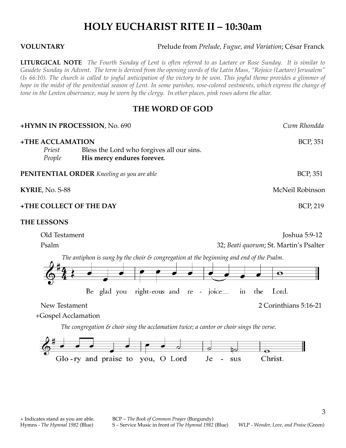## **HOLY EUCHARIST RITE II – 10:30am**

**VOLUNTARY** Prelude from *Prelude, Fugue, and Variation*; César Franck

**LITURGICAL NOTE** The Fourth Sunday of Lent is often referred to as Laetare or Rose Sunday. It is similar to Gaudete Sunday in Advent. The term is derived from the opening words of the Latin Mass, "Rejoice (Laetare) Jerusalem" (Is 66:10). The church is called to joyful anticipation of the victory to be won. This joyful theme provides a glimmer of hope in the midst of the penitential season of Lent. In some parishes, rose-colored vestments, which express the change of tone in the Lenten observance, may be worn by the clergy. In other places, pink roses adorn the altar.

#### **THE WORD OF GOD**

| +HYMN IN PROCESSION, No. 690                                                                                                                                                           | Cwm Rhondda                                 |
|----------------------------------------------------------------------------------------------------------------------------------------------------------------------------------------|---------------------------------------------|
| +THE ACCLAMATION<br>Priest<br>Bless the Lord who forgives all our sins.<br>His mercy endures forever.<br>People                                                                        | <b>BCP, 351</b>                             |
| <b>PENITENTIAL ORDER</b> Kneeling as you are able                                                                                                                                      | <b>BCP, 351</b>                             |
| KYRIE, No. S-88                                                                                                                                                                        | McNeil Robinson                             |
| +THE COLLECT OF THE DAY                                                                                                                                                                | <b>BCP, 219</b>                             |
| <b>THE LESSONS</b>                                                                                                                                                                     |                                             |
| Old Testament                                                                                                                                                                          | Joshua 5:9-12                               |
| Psalm                                                                                                                                                                                  | 32; Beati quorum; St. Martin's Psalter      |
| The antiphon is sung by the choir $\varepsilon$ congregation at the beginning and end of the Psalm.<br>right-eous and re - joice $\equiv$<br>in<br>Be glad you<br>the<br>New Testament | $\bullet$<br>Lord.<br>2 Corinthians 5:16-21 |
| $\pm$ Coenel Acclamation                                                                                                                                                               |                                             |

+Gospel Acclamation

*The congregation & choir sing the acclamation twice; a cantor or choir sings the verse.*

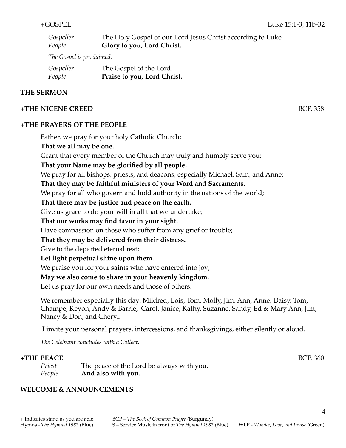| Gospeller | The Holy Gospel of our Lord Jesus Christ according to Luke. |
|-----------|-------------------------------------------------------------|
| People    | <b>Glory to you, Lord Christ.</b>                           |

*The Gospel is proclaimed.*

| Gospeller | The Gospel of the Lord.     |
|-----------|-----------------------------|
| People    | Praise to you, Lord Christ. |

#### **THE SERMON**

#### **+THE NICENE CREED** BCP, 358

#### **+THE PRAYERS OF THE PEOPLE**

Father, we pray for your holy Catholic Church;

**That we all may be one.**

Grant that every member of the Church may truly and humbly serve you;

**That your Name may be glorified by all people.**

We pray for all bishops, priests, and deacons, especially Michael, Sam, and Anne;

**That they may be faithful ministers of your Word and Sacraments.**

We pray for all who govern and hold authority in the nations of the world;

#### **That there may be justice and peace on the earth.**

Give us grace to do your will in all that we undertake;

#### **That our works may find favor in your sight.**

Have compassion on those who suffer from any grief or trouble;

### **That they may be delivered from their distress.**

Give to the departed eternal rest;

#### **Let light perpetual shine upon them.**

We praise you for your saints who have entered into joy;

### **May we also come to share in your heavenly kingdom.**

Let us pray for our own needs and those of others.

We remember especially this day: Mildred, Lois, Tom, Molly, Jim, Ann, Anne, Daisy, Tom, Champe, Keyon, Andy & Barrie, Carol, Janice, Kathy, Suzanne, Sandy, Ed & Mary Ann, Jim, Nancy & Don, and Cheryl.

I invite your personal prayers, intercessions, and thanksgivings, either silently or aloud.

*The Celebrant concludes with a Collect.*

#### **+THE PEACE** BCP, 360

*Priest* The peace of the Lord be always with you. *People* **And also with you.**

### **WELCOME & ANNOUNCEMENTS**

4